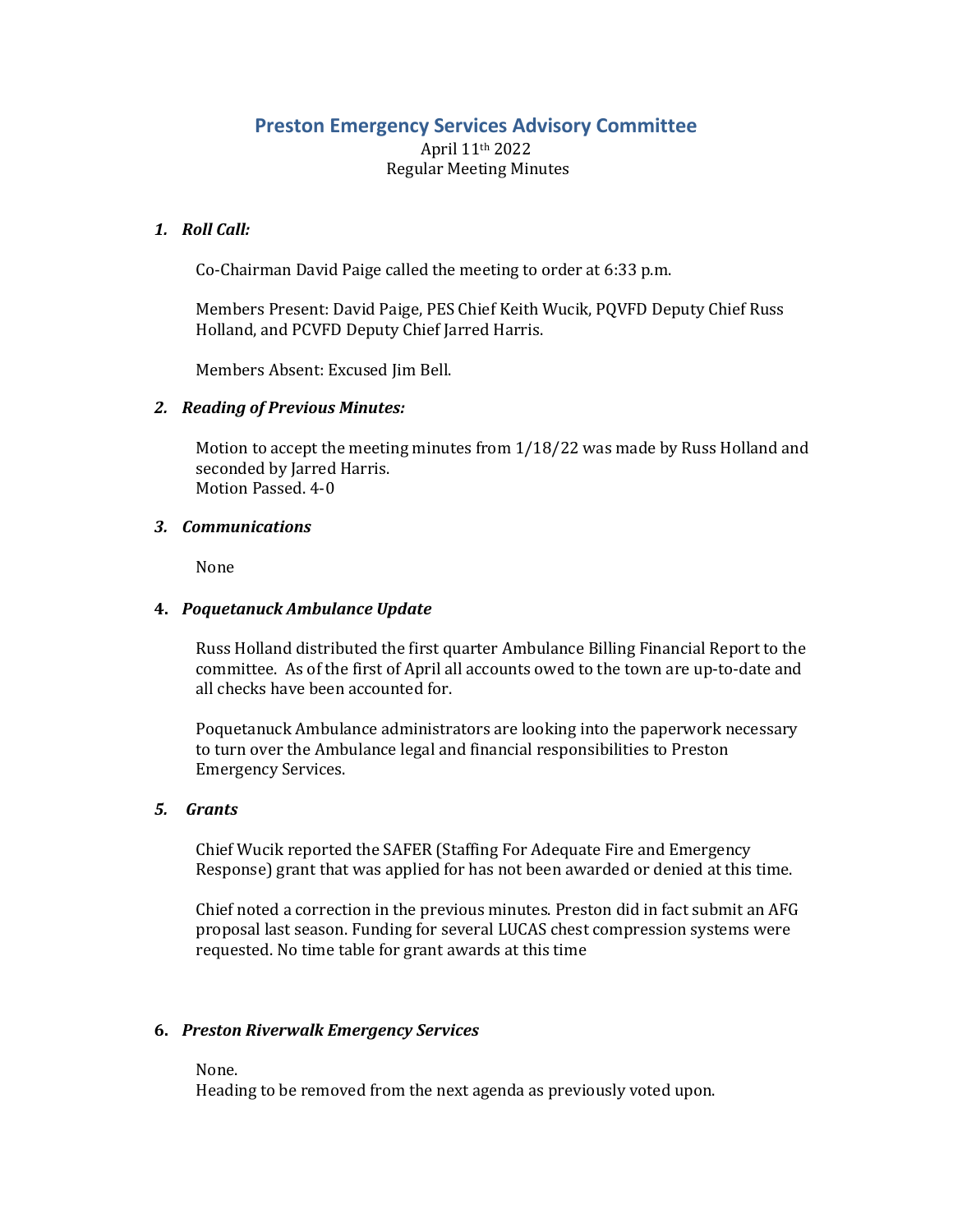# **Preston Emergency Services Advisory Committee**

April 11th 2022 Regular Meeting Minutes

## *1. Roll Call:*

Co-Chairman David Paige called the meeting to order at 6:33 p.m.

Members Present: David Paige, PES Chief Keith Wucik, PQVFD Deputy Chief Russ Holland, and PCVFD Deputy Chief Jarred Harris.

Members Absent: Excused Jim Bell.

## *2. Reading of Previous Minutes:*

Motion to accept the meeting minutes from 1/18/22 was made by Russ Holland and seconded by Jarred Harris. Motion Passed. 4-0

## *3. Communications*

None

## **4.** *Poquetanuck Ambulance Update*

Russ Holland distributed the first quarter Ambulance Billing Financial Report to the committee. As of the first of April all accounts owed to the town are up-to-date and all checks have been accounted for.

Poquetanuck Ambulance administrators are looking into the paperwork necessary to turn over the Ambulance legal and financial responsibilities to Preston Emergency Services.

#### *5. Grants*

Chief Wucik reported the SAFER (Staffing For Adequate Fire and Emergency Response) grant that was applied for has not been awarded or denied at this time.

Chief noted a correction in the previous minutes. Preston did in fact submit an AFG proposal last season. Funding for several LUCAS chest compression systems were requested. No time table for grant awards at this time

## **6.** *Preston Riverwalk Emergency Services*

None.

Heading to be removed from the next agenda as previously voted upon.